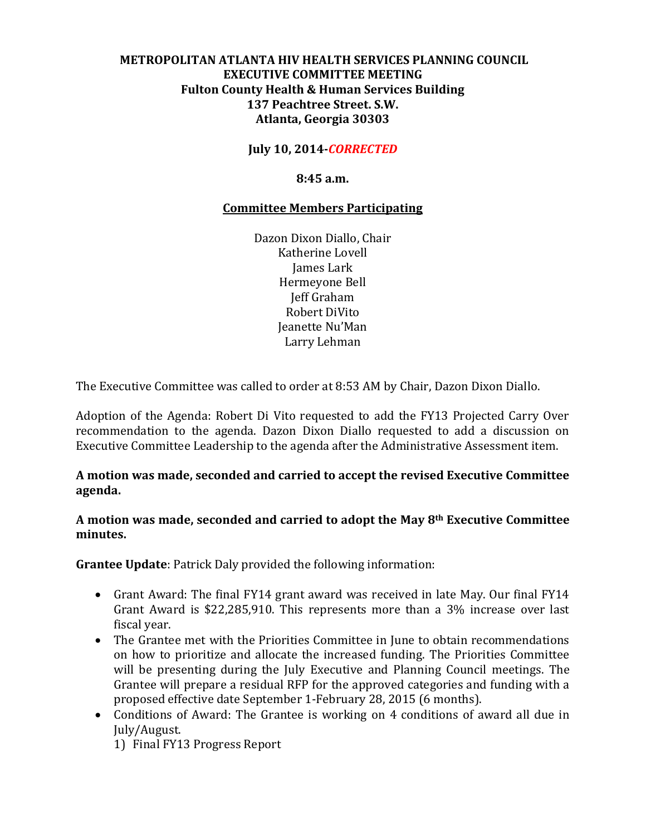# **METROPOLITAN ATLANTA HIV HEALTH SERVICES PLANNING COUNCIL EXECUTIVE COMMITTEE MEETING Fulton County Health & Human Services Building 137 Peachtree Street. S.W. Atlanta, Georgia 30303**

**July 10, 2014-***CORRECTED*

**8:45 a.m.**

## **Committee Members Participating**

Dazon Dixon Diallo, Chair Katherine Lovell James Lark Hermeyone Bell Jeff Graham Robert DiVito Jeanette Nu'Man Larry Lehman

The Executive Committee was called to order at 8:53 AM by Chair, Dazon Dixon Diallo.

Adoption of the Agenda: Robert Di Vito requested to add the FY13 Projected Carry Over recommendation to the agenda. Dazon Dixon Diallo requested to add a discussion on Executive Committee Leadership to the agenda after the Administrative Assessment item.

# **A motion was made, seconded and carried to accept the revised Executive Committee agenda.**

### **A motion was made, seconded and carried to adopt the May 8th Executive Committee minutes.**

**Grantee Update**: Patrick Daly provided the following information:

- Grant Award: The final FY14 grant award was received in late May. Our final FY14 Grant Award is \$22,285,910. This represents more than a 3% increase over last fiscal year.
- The Grantee met with the Priorities Committee in June to obtain recommendations on how to prioritize and allocate the increased funding. The Priorities Committee will be presenting during the July Executive and Planning Council meetings. The Grantee will prepare a residual RFP for the approved categories and funding with a proposed effective date September 1-February 28, 2015 (6 months).
- Conditions of Award: The Grantee is working on 4 conditions of award all due in July/August.
	- 1) Final FY13 Progress Report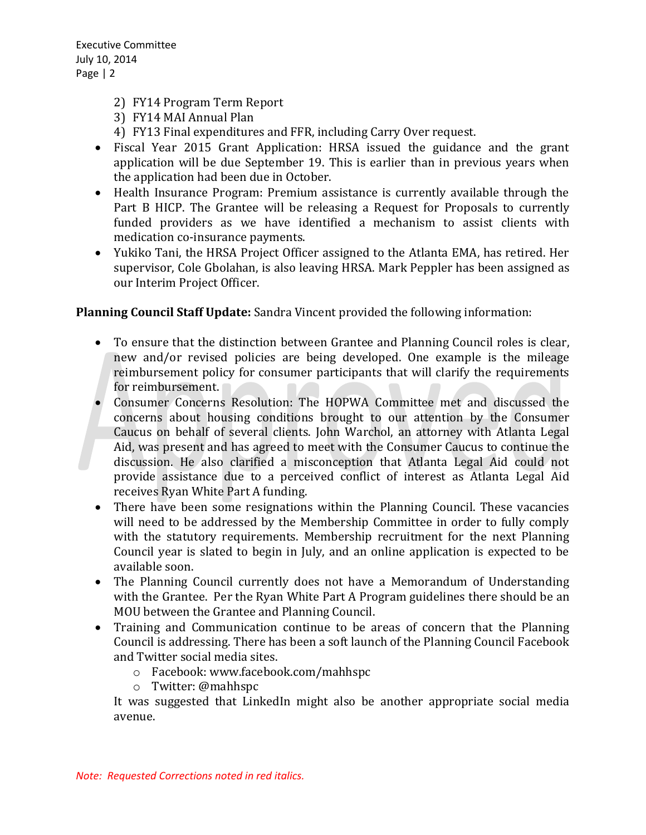- 2) FY14 Program Term Report
- 3) FY14 MAI Annual Plan
- 4) FY13 Final expenditures and FFR, including Carry Over request.
- Fiscal Year 2015 Grant Application: HRSA issued the guidance and the grant application will be due September 19. This is earlier than in previous years when the application had been due in October.
- Health Insurance Program: Premium assistance is currently available through the Part B HICP. The Grantee will be releasing a Request for Proposals to currently funded providers as we have identified a mechanism to assist clients with medication co-insurance payments.
- Yukiko Tani, the HRSA Project Officer assigned to the Atlanta EMA, has retired. Her supervisor, Cole Gbolahan, is also leaving HRSA. Mark Peppler has been assigned as our Interim Project Officer.

**Planning Council Staff Update:** Sandra Vincent provided the following information:

- To ensure that the distinction between Grantee and Planning Council roles is clear, new and/or revised policies are being developed. One example is the mileage reimbursement policy for consumer participants that will clarify the requirements for reimbursement.
- Consumer Concerns Resolution: The HOPWA Committee met and discussed the concerns about housing conditions brought to our attention by the Consumer Caucus on behalf of several clients. John Warchol, an attorney with Atlanta Legal Aid, was present and has agreed to meet with the Consumer Caucus to continue the discussion. He also clarified a misconception that Atlanta Legal Aid could not provide assistance due to a perceived conflict of interest as Atlanta Legal Aid receives Ryan White Part A funding.
- There have been some resignations within the Planning Council. These vacancies will need to be addressed by the Membership Committee in order to fully comply with the statutory requirements. Membership recruitment for the next Planning Council year is slated to begin in July, and an online application is expected to be available soon.
- The Planning Council currently does not have a Memorandum of Understanding with the Grantee. Per the Ryan White Part A Program guidelines there should be an MOU between the Grantee and Planning Council.
- Training and Communication continue to be areas of concern that the Planning Council is addressing. There has been a soft launch of the Planning Council Facebook and Twitter social media sites.
	- o Facebook: www.facebook.com/mahhspc
	- o Twitter: @mahhspc

It was suggested that LinkedIn might also be another appropriate social media avenue.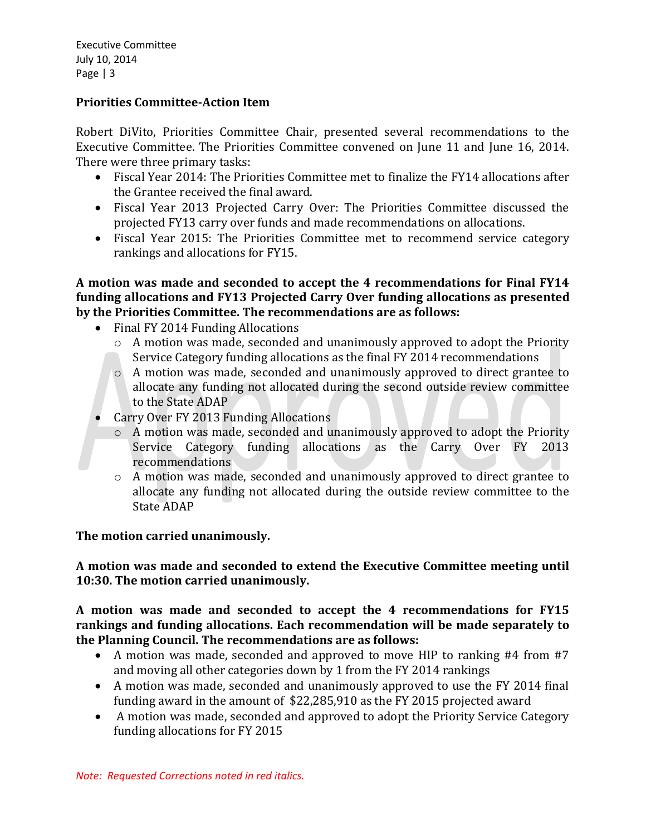# **Priorities Committee-Action Item**

Robert DiVito, Priorities Committee Chair, presented several recommendations to the Executive Committee. The Priorities Committee convened on June 11 and June 16, 2014. There were three primary tasks:

- Fiscal Year 2014: The Priorities Committee met to finalize the FY14 allocations after the Grantee received the final award.
- Fiscal Year 2013 Projected Carry Over: The Priorities Committee discussed the projected FY13 carry over funds and made recommendations on allocations.
- Fiscal Year 2015: The Priorities Committee met to recommend service category rankings and allocations for FY15.

**A motion was made and seconded to accept the 4 recommendations for Final FY14 funding allocations and FY13 Projected Carry Over funding allocations as presented by the Priorities Committee. The recommendations are as follows:**

- Final FY 2014 Funding Allocations
	- o A motion was made, seconded and unanimously approved to adopt the Priority Service Category funding allocations as the final FY 2014 recommendations
	- o A motion was made, seconded and unanimously approved to direct grantee to allocate any funding not allocated during the second outside review committee to the State ADAP
- Carry Over FY 2013 Funding Allocations
	- o A motion was made, seconded and unanimously approved to adopt the Priority Service Category funding allocations as the Carry Over FY 2013 recommendations
	- o A motion was made, seconded and unanimously approved to direct grantee to allocate any funding not allocated during the outside review committee to the State ADAP

# **The motion carried unanimously.**

**A motion was made and seconded to extend the Executive Committee meeting until 10:30. The motion carried unanimously.**

**A motion was made and seconded to accept the 4 recommendations for FY15 rankings and funding allocations. Each recommendation will be made separately to the Planning Council. The recommendations are as follows:**

- A motion was made, seconded and approved to move HIP to ranking #4 from #7 and moving all other categories down by 1 from the FY 2014 rankings
- A motion was made, seconded and unanimously approved to use the FY 2014 final funding award in the amount of \$22,285,910 as the FY 2015 projected award
- A motion was made, seconded and approved to adopt the Priority Service Category funding allocations for FY 2015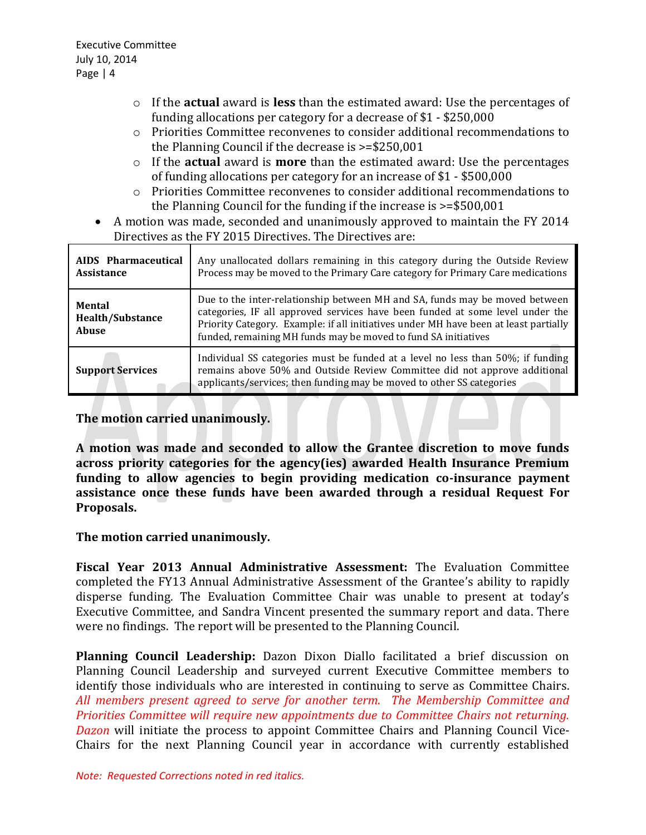- o If the **actual** award is **less** than the estimated award: Use the percentages of funding allocations per category for a decrease of \$1 - \$250,000
- o Priorities Committee reconvenes to consider additional recommendations to the Planning Council if the decrease is >=\$250,001
- o If the **actual** award is **more** than the estimated award: Use the percentages of funding allocations per category for an increase of \$1 - \$500,000
- o Priorities Committee reconvenes to consider additional recommendations to the Planning Council for the funding if the increase is >=\$500,001
- A motion was made, seconded and unanimously approved to maintain the FY 2014 Directives as the FY 2015 Directives. The Directives are:

| AIDS Pharmaceutical<br><b>Assistance</b>          | Any unallocated dollars remaining in this category during the Outside Review<br>Process may be moved to the Primary Care category for Primary Care medications                                                                                                                                                         |
|---------------------------------------------------|------------------------------------------------------------------------------------------------------------------------------------------------------------------------------------------------------------------------------------------------------------------------------------------------------------------------|
| <b>Mental</b><br><b>Health/Substance</b><br>Abuse | Due to the inter-relationship between MH and SA, funds may be moved between<br>categories, IF all approved services have been funded at some level under the<br>Priority Category. Example: if all initiatives under MH have been at least partially<br>funded, remaining MH funds may be moved to fund SA initiatives |
| <b>Support Services</b>                           | Individual SS categories must be funded at a level no less than 50%; if funding<br>remains above 50% and Outside Review Committee did not approve additional<br>applicants/services; then funding may be moved to other SS categories                                                                                  |

# **The motion carried unanimously.**

**A motion was made and seconded to allow the Grantee discretion to move funds across priority categories for the agency(ies) awarded Health Insurance Premium funding to allow agencies to begin providing medication co-insurance payment assistance once these funds have been awarded through a residual Request For Proposals.**

# **The motion carried unanimously.**

**Fiscal Year 2013 Annual Administrative Assessment:** The Evaluation Committee completed the FY13 Annual Administrative Assessment of the Grantee's ability to rapidly disperse funding. The Evaluation Committee Chair was unable to present at today's Executive Committee, and Sandra Vincent presented the summary report and data. There were no findings. The report will be presented to the Planning Council.

**Planning Council Leadership:** Dazon Dixon Diallo facilitated a brief discussion on Planning Council Leadership and surveyed current Executive Committee members to identify those individuals who are interested in continuing to serve as Committee Chairs. *All members present agreed to serve for another term. The Membership Committee and Priorities Committee will require new appointments due to Committee Chairs not returning. Dazon* will initiate the process to appoint Committee Chairs and Planning Council Vice-Chairs for the next Planning Council year in accordance with currently established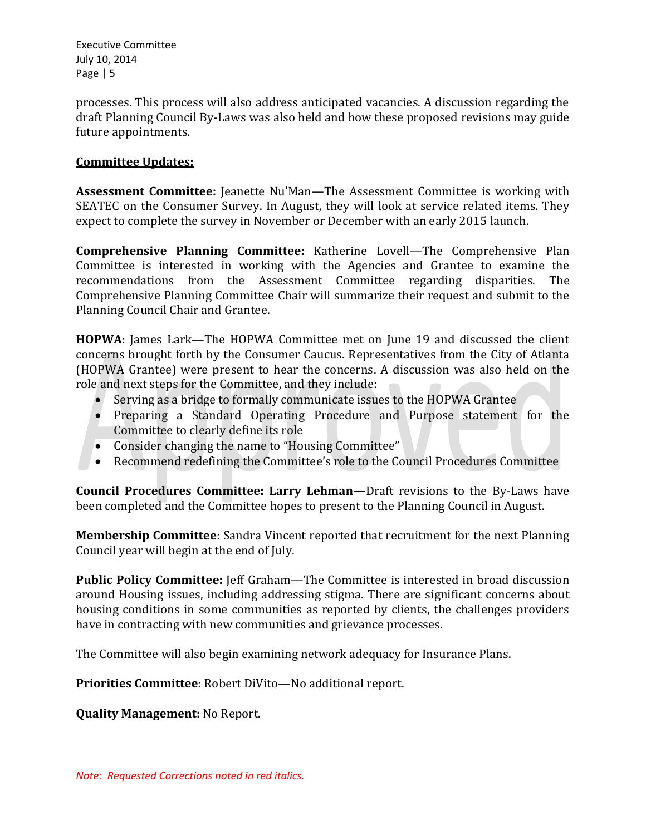processes. This process will also address anticipated vacancies. A discussion regarding the draft Planning Council By-Laws was also held and how these proposed revisions may guide future appointments.

### **Committee Updates:**

**Assessment Committee:** Jeanette Nu'Man—The Assessment Committee is working with SEATEC on the Consumer Survey. In August, they will look at service related items. They expect to complete the survey in November or December with an early 2015 launch.

**Comprehensive Planning Committee:** Katherine Lovell—The Comprehensive Plan Committee is interested in working with the Agencies and Grantee to examine the recommendations from the Assessment Committee regarding disparities. The Comprehensive Planning Committee Chair will summarize their request and submit to the Planning Council Chair and Grantee.

**HOPWA**: James Lark—The HOPWA Committee met on June 19 and discussed the client concerns brought forth by the Consumer Caucus. Representatives from the City of Atlanta (HOPWA Grantee) were present to hear the concerns. A discussion was also held on the role and next steps for the Committee, and they include:

- Serving as a bridge to formally communicate issues to the HOPWA Grantee
- Preparing a Standard Operating Procedure and Purpose statement for the Committee to clearly define its role
- Consider changing the name to "Housing Committee"
- Recommend redefining the Committee's role to the Council Procedures Committee

**Council Procedures Committee: Larry Lehman—**Draft revisions to the By-Laws have been completed and the Committee hopes to present to the Planning Council in August.

**Membership Committee**: Sandra Vincent reported that recruitment for the next Planning Council year will begin at the end of July.

**Public Policy Committee:** Jeff Graham—The Committee is interested in broad discussion around Housing issues, including addressing stigma. There are significant concerns about housing conditions in some communities as reported by clients, the challenges providers have in contracting with new communities and grievance processes.

The Committee will also begin examining network adequacy for Insurance Plans.

**Priorities Committee**: Robert DiVito—No additional report.

**Quality Management:** No Report.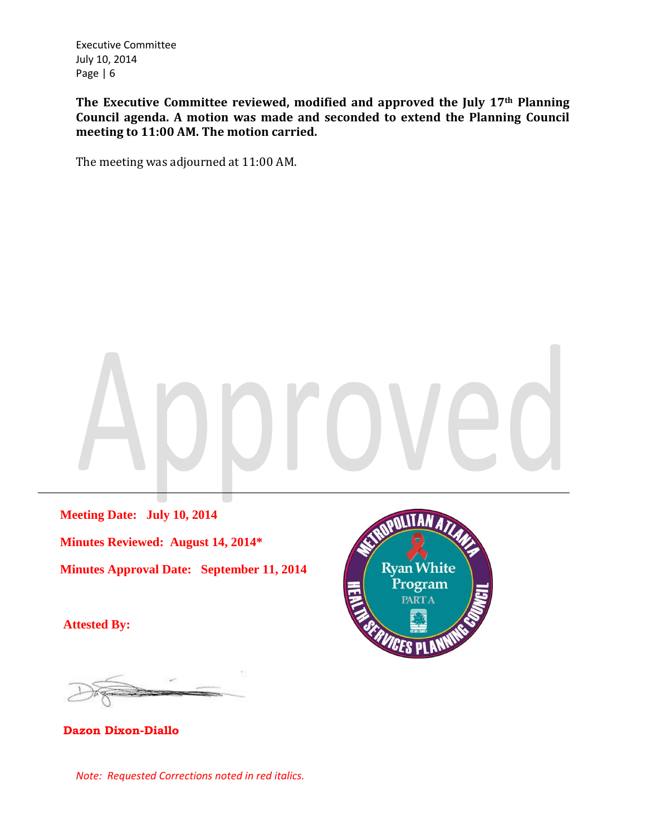**The Executive Committee reviewed, modified and approved the July 17th Planning Council agenda. A motion was made and seconded to extend the Planning Council meeting to 11:00 AM. The motion carried.**

The meeting was adjourned at 11:00 AM.

\_\_\_\_\_\_\_\_\_\_\_\_\_\_\_\_\_\_\_\_\_\_\_\_\_\_\_\_\_\_\_\_\_\_\_\_\_\_\_\_\_\_\_\_\_\_\_\_\_\_\_\_\_\_\_\_\_\_\_\_\_\_\_\_\_\_\_\_\_\_\_\_\_\_\_\_\_\_\_\_\_\_\_\_

 **Meeting Date: July 10, 2014 Minutes Reviewed: August 14, 2014\* Minutes Approval Date: September 11, 2014**

 **Attested By:**



**Dazon Dixon-Diallo**

*Note: Requested Corrections noted in red italics.*